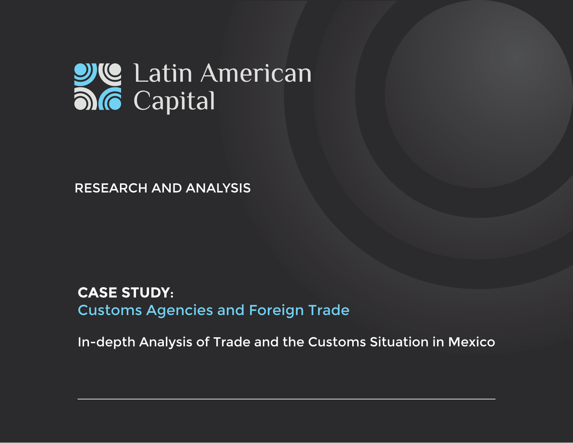# **DIC** Latin American

RESEARCH AND ANALYSIS

## **CASE STUDY**: Customs Agencies and Foreign Trade

In-depth Analysis of Trade and the Customs Situation in Mexico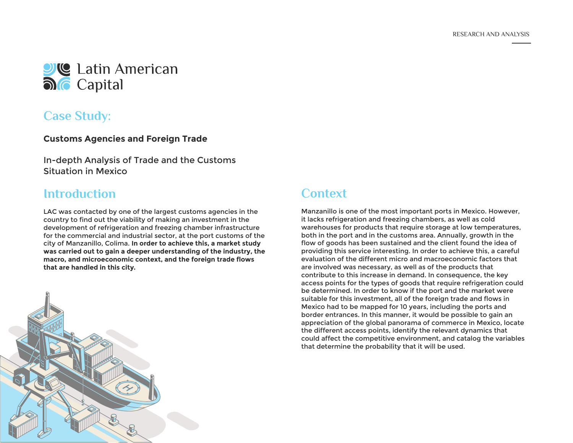

## **Case Study:**

#### **Customs Agencies and Foreign Trade**

In-depth Analysis of Trade and the Customs Situation in Mexico

### **Introduction**

LAC was contacted by one of the largest customs agencies in the country to find out the viability of making an investment in the development of refrigeration and freezing chamber infrastructure for the commercial and industrial sector, at the port customs of the city of Manzanillo, Colima. **In order to achieve this, a market study was carried out to gain a deeper understanding of the industry, the macro, and microeconomic context, and the foreign trade flows that are handled in this city.**



## **Context**

Manzanillo is one of the most important ports in Mexico. However, it lacks refrigeration and freezing chambers, as well as cold warehouses for products that require storage at low temperatures, both in the port and in the customs area. Annually, growth in the flow of goods has been sustained and the client found the idea of providing this service interesting. In order to achieve this, a careful evaluation of the different micro and macroeconomic factors that are involved was necessary, as well as of the products that contribute to this increase in demand. In consequence, the key access points for the types of goods that require refrigeration could be determined. In order to know if the port and the market were suitable for this investment, all of the foreign trade and flows in Mexico had to be mapped for 10 years, including the ports and border entrances. In this manner, it would be possible to gain an appreciation of the global panorama of commerce in Mexico, locate the different access points, identify the relevant dynamics that could affect the competitive environment, and catalog the variables that determine the probability that it will be used.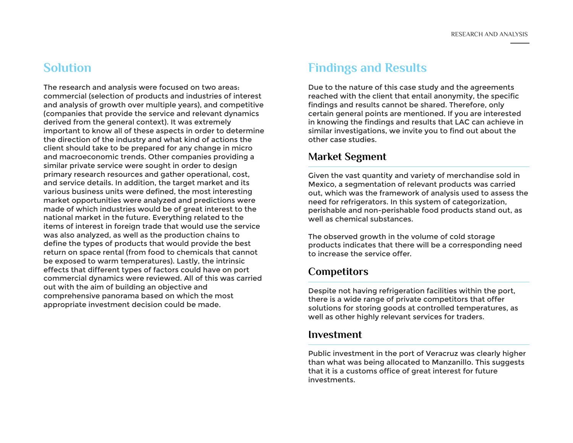## **Solution**

The research and analysis were focused on two areas: commercial (selection of products and industries of interest and analysis of growth over multiple years), and competitive (companies that provide the service and relevant dynamics derived from the general context). It was extremely important to know all of these aspects in order to determine the direction of the industry and what kind of actions the client should take to be prepared for any change in micro and macroeconomic trends. Other companies providing a similar private service were sought in order to design primary research resources and gather operational, cost, and service details. In addition, the target market and its various business units were defined, the most interesting market opportunities were analyzed and predictions were made of which industries would be of great interest to the national market in the future. Everything related to the items of interest in foreign trade that would use the service was also analyzed, as well as the production chains to define the types of products that would provide the best return on space rental (from food to chemicals that cannot be exposed to warm temperatures). Lastly, the intrinsic effects that different types of factors could have on port commercial dynamics were reviewed. All of this was carried out with the aim of building an objective and comprehensive panorama based on which the most appropriate investment decision could be made.

## **Findings and Results**

Due to the nature of this case study and the agreements reached with the client that entail anonymity, the specific findings and results cannot be shared. Therefore, only certain general points are mentioned. If you are interested in knowing the findings and results that LAC can achieve in similar investigations, we invite you to find out about the other case studies.

#### **Market Segment**

Given the vast quantity and variety of merchandise sold in Mexico, a segmentation of relevant products was carried out, which was the framework of analysis used to assess the need for refrigerators. In this system of categorization, perishable and non-perishable food products stand out, as well as chemical substances.

The observed growth in the volume of cold storage products indicates that there will be a corresponding need to increase the service offer.

#### **Competitors**

Despite not having refrigeration facilities within the port, there is a wide range of private competitors that offer solutions for storing goods at controlled temperatures, as well as other highly relevant services for traders.

#### **Investment**

Public investment in the port of Veracruz was clearly higher than what was being allocated to Manzanillo. This suggests that it is a customs office of great interest for future investments.